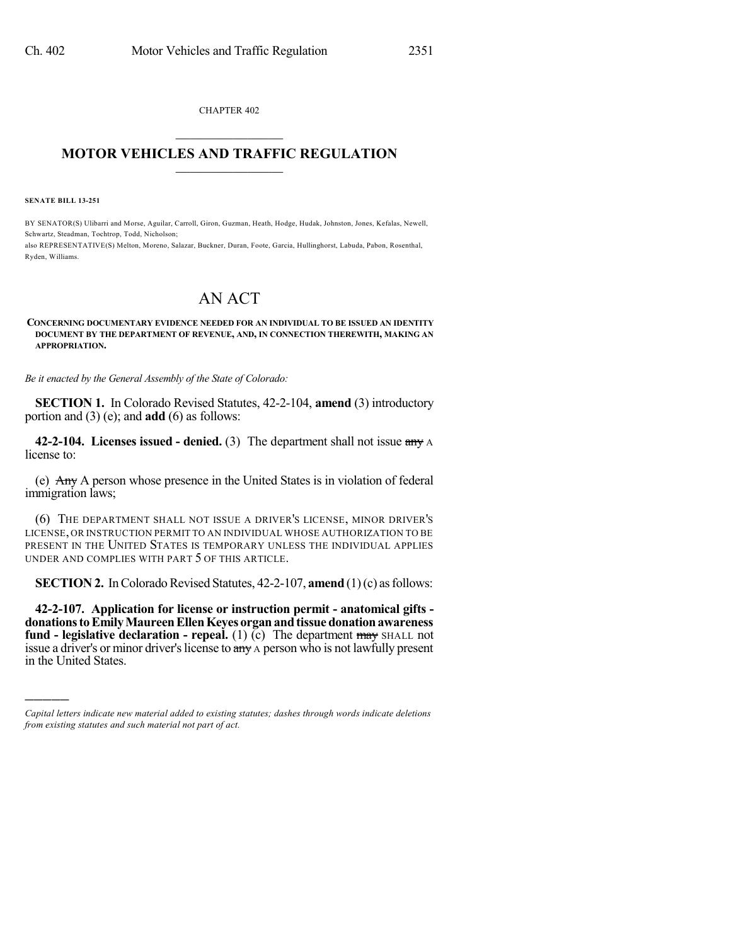CHAPTER 402  $\mathcal{L}_\text{max}$  . The set of the set of the set of the set of the set of the set of the set of the set of the set of the set of the set of the set of the set of the set of the set of the set of the set of the set of the set

## **MOTOR VEHICLES AND TRAFFIC REGULATION**  $\frac{1}{2}$  ,  $\frac{1}{2}$  ,  $\frac{1}{2}$  ,  $\frac{1}{2}$  ,  $\frac{1}{2}$  ,  $\frac{1}{2}$  ,  $\frac{1}{2}$

**SENATE BILL 13-251**

)))))

BY SENATOR(S) Ulibarri and Morse, Aguilar, Carroll, Giron, Guzman, Heath, Hodge, Hudak, Johnston, Jones, Kefalas, Newell, Schwartz, Steadman, Tochtrop, Todd, Nicholson;

also REPRESENTATIVE(S) Melton, Moreno, Salazar, Buckner, Duran, Foote, Garcia, Hullinghorst, Labuda, Pabon, Rosenthal, Ryden, Williams.

# AN ACT

#### **CONCERNING DOCUMENTARY EVIDENCE NEEDED FOR AN INDIVIDUAL TO BE ISSUED AN IDENTITY DOCUMENT BY THE DEPARTMENT OF REVENUE, AND, IN CONNECTION THEREWITH, MAKING AN APPROPRIATION.**

*Be it enacted by the General Assembly of the State of Colorado:*

**SECTION 1.** In Colorado Revised Statutes, 42-2-104, **amend** (3) introductory portion and (3) (e); and **add** (6) as follows:

**42-2-104. Licenses issued - denied.** (3) The department shall not issue any A license to:

(e)  $\overrightarrow{Any}$  A person whose presence in the United States is in violation of federal immigration laws;

(6) THE DEPARTMENT SHALL NOT ISSUE A DRIVER'S LICENSE, MINOR DRIVER'S LICENSE, OR INSTRUCTION PERMIT TO AN INDIVIDUAL WHOSE AUTHORIZATION TO BE PRESENT IN THE UNITED STATES IS TEMPORARY UNLESS THE INDIVIDUAL APPLIES UNDER AND COMPLIES WITH PART 5 OF THIS ARTICLE.

**SECTION 2.** In Colorado Revised Statutes, 42-2-107, **amend** (1)(c) as follows:

**42-2-107. Application for license or instruction permit - anatomical gifts donationstoEmilyMaureenEllenKeyes organandtissue donationawareness fund - legislative declaration - repeal.** (1) (c) The department may SHALL not issue a driver's or minor driver's license to any A person who is not lawfully present in the United States.

*Capital letters indicate new material added to existing statutes; dashes through words indicate deletions from existing statutes and such material not part of act.*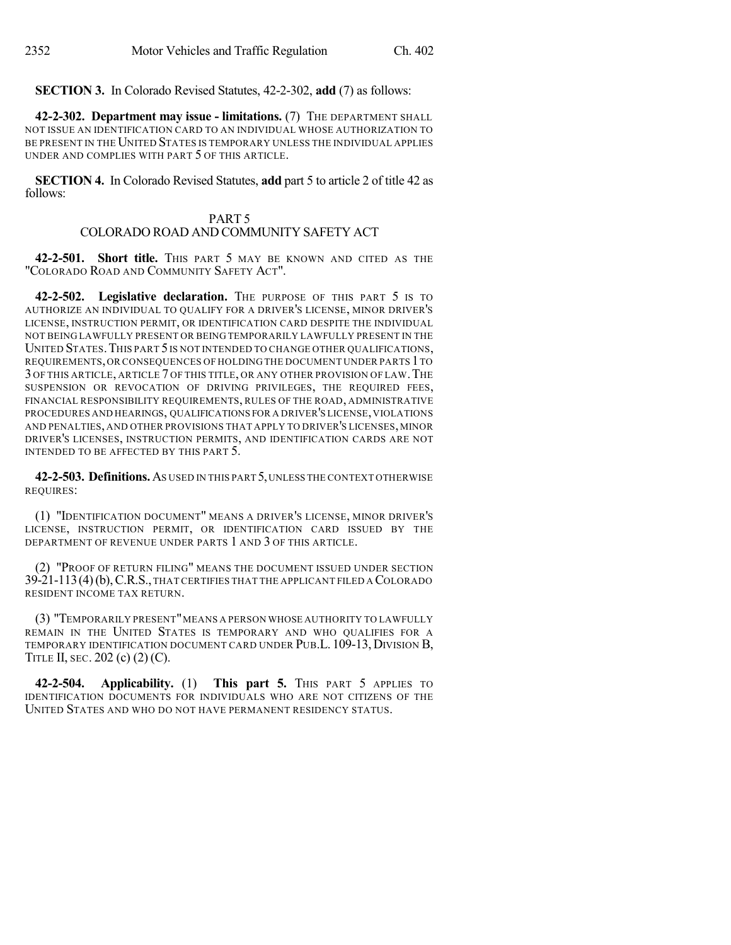**SECTION 3.** In Colorado Revised Statutes, 42-2-302, **add** (7) as follows:

**42-2-302. Department may issue - limitations.** (7) THE DEPARTMENT SHALL NOT ISSUE AN IDENTIFICATION CARD TO AN INDIVIDUAL WHOSE AUTHORIZATION TO BE PRESENT IN THE UNITED STATES IS TEMPORARY UNLESS THE INDIVIDUAL APPLIES UNDER AND COMPLIES WITH PART 5 OF THIS ARTICLE.

**SECTION 4.** In Colorado Revised Statutes, **add** part 5 to article 2 of title 42 as follows:

## PART 5 COLORADO ROAD AND COMMUNITY SAFETY ACT

**42-2-501. Short title.** THIS PART 5 MAY BE KNOWN AND CITED AS THE "COLORADO ROAD AND COMMUNITY SAFETY ACT".

**42-2-502. Legislative declaration.** THE PURPOSE OF THIS PART 5 IS TO AUTHORIZE AN INDIVIDUAL TO QUALIFY FOR A DRIVER'S LICENSE, MINOR DRIVER'S LICENSE, INSTRUCTION PERMIT, OR IDENTIFICATION CARD DESPITE THE INDIVIDUAL NOT BEING LAWFULLY PRESENT OR BEING TEMPORARILY LAWFULLY PRESENT IN THE UNITED STATES. THIS PART 5 IS NOT INTENDED TO CHANGE OTHER QUALIFICATIONS, REQUIREMENTS,OR CONSEQUENCES OF HOLDING THE DOCUMENT UNDER PARTS 1TO 3 OF THIS ARTICLE, ARTICLE 7 OF THIS TITLE, OR ANY OTHER PROVISION OF LAW.THE SUSPENSION OR REVOCATION OF DRIVING PRIVILEGES, THE REQUIRED FEES, FINANCIAL RESPONSIBILITY REQUIREMENTS, RULES OF THE ROAD, ADMINISTRATIVE PROCEDURES AND HEARINGS, QUALIFICATIONS FOR A DRIVER'S LICENSE,VIOLATIONS AND PENALTIES, AND OTHER PROVISIONS THAT APPLY TO DRIVER'S LICENSES, MINOR DRIVER'S LICENSES, INSTRUCTION PERMITS, AND IDENTIFICATION CARDS ARE NOT INTENDED TO BE AFFECTED BY THIS PART 5.

**42-2-503. Definitions.**AS USED IN THIS PART 5,UNLESS THE CONTEXT OTHERWISE REQUIRES:

(1) "IDENTIFICATION DOCUMENT" MEANS A DRIVER'S LICENSE, MINOR DRIVER'S LICENSE, INSTRUCTION PERMIT, OR IDENTIFICATION CARD ISSUED BY THE DEPARTMENT OF REVENUE UNDER PARTS 1 AND 3 OF THIS ARTICLE.

(2) "PROOF OF RETURN FILING" MEANS THE DOCUMENT ISSUED UNDER SECTION 39-21-113(4)(b),C.R.S.,THAT CERTIFIES THAT THE APPLICANT FILED A COLORADO RESIDENT INCOME TAX RETURN.

(3) "TEMPORARILY PRESENT"MEANS A PERSON WHOSE AUTHORITY TO LAWFULLY REMAIN IN THE UNITED STATES IS TEMPORARY AND WHO QUALIFIES FOR A TEMPORARY IDENTIFICATION DOCUMENT CARD UNDER PUB.L. 109-13, DIVISION B, TITLE II, SEC. 202 (c) (2) (C).

**42-2-504. Applicability.** (1) **This part 5.** THIS PART 5 APPLIES TO IDENTIFICATION DOCUMENTS FOR INDIVIDUALS WHO ARE NOT CITIZENS OF THE UNITED STATES AND WHO DO NOT HAVE PERMANENT RESIDENCY STATUS.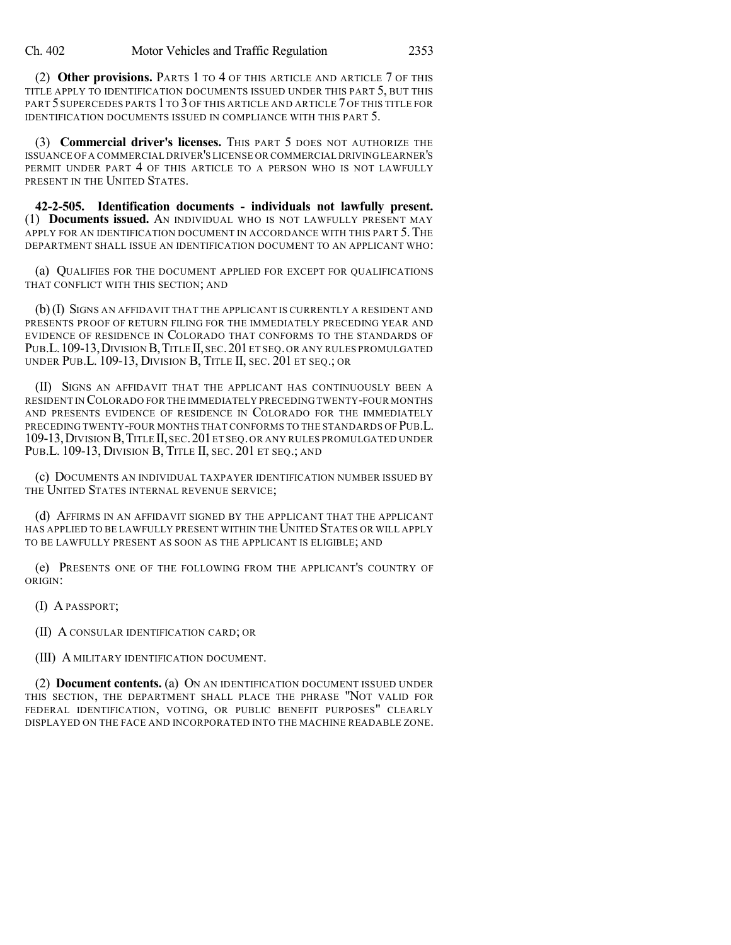(2) **Other provisions.** PARTS 1 TO 4 OF THIS ARTICLE AND ARTICLE 7 OF THIS TITLE APPLY TO IDENTIFICATION DOCUMENTS ISSUED UNDER THIS PART 5, BUT THIS PART 5 SUPERCEDES PARTS 1 TO 3 OF THIS ARTICLE AND ARTICLE 7 OF THIS TITLE FOR IDENTIFICATION DOCUMENTS ISSUED IN COMPLIANCE WITH THIS PART 5.

(3) **Commercial driver's licenses.** THIS PART 5 DOES NOT AUTHORIZE THE ISSUANCE OF A COMMERCIAL DRIVER'S LICENSE OR COMMERCIAL DRIVINGLEARNER'S PERMIT UNDER PART 4 OF THIS ARTICLE TO A PERSON WHO IS NOT LAWFULLY PRESENT IN THE UNITED STATES.

**42-2-505. Identification documents - individuals not lawfully present.** (1) **Documents issued.** AN INDIVIDUAL WHO IS NOT LAWFULLY PRESENT MAY APPLY FOR AN IDENTIFICATION DOCUMENT IN ACCORDANCE WITH THIS PART 5. THE DEPARTMENT SHALL ISSUE AN IDENTIFICATION DOCUMENT TO AN APPLICANT WHO:

(a) QUALIFIES FOR THE DOCUMENT APPLIED FOR EXCEPT FOR QUALIFICATIONS THAT CONFLICT WITH THIS SECTION; AND

(b)(I) SIGNS AN AFFIDAVIT THAT THE APPLICANT IS CURRENTLY A RESIDENT AND PRESENTS PROOF OF RETURN FILING FOR THE IMMEDIATELY PRECEDING YEAR AND EVIDENCE OF RESIDENCE IN COLORADO THAT CONFORMS TO THE STANDARDS OF PUB.L. 109-13, DIVISION B, TITLE II, SEC. 201 ET SEQ. OR ANY RULES PROMULGATED UNDER PUB.L. 109-13, DIVISION B, TITLE II, SEC. 201 ET SEQ.; OR

(II) SIGNS AN AFFIDAVIT THAT THE APPLICANT HAS CONTINUOUSLY BEEN A RESIDENT IN COLORADO FOR THE IMMEDIATELY PRECEDING TWENTY-FOUR MONTHS AND PRESENTS EVIDENCE OF RESIDENCE IN COLORADO FOR THE IMMEDIATELY PRECEDING TWENTY-FOUR MONTHS THAT CONFORMS TO THE STANDARDS OF PUB.L. 109-13,DIVISION B,TITLE II,SEC.201ET SEQ.OR ANY RULES PROMULGATED UNDER PUB.L. 109-13, DIVISION B, TITLE II, SEC. 201 ET SEQ.; AND

(c) DOCUMENTS AN INDIVIDUAL TAXPAYER IDENTIFICATION NUMBER ISSUED BY THE UNITED STATES INTERNAL REVENUE SERVICE;

(d) AFFIRMS IN AN AFFIDAVIT SIGNED BY THE APPLICANT THAT THE APPLICANT HAS APPLIED TO BE LAWFULLY PRESENT WITHIN THE UNITED STATES OR WILL APPLY TO BE LAWFULLY PRESENT AS SOON AS THE APPLICANT IS ELIGIBLE; AND

(e) PRESENTS ONE OF THE FOLLOWING FROM THE APPLICANT'S COUNTRY OF ORIGIN:

(I) A PASSPORT;

(II) A CONSULAR IDENTIFICATION CARD; OR

(III) A MILITARY IDENTIFICATION DOCUMENT.

(2) **Document contents.** (a) ON AN IDENTIFICATION DOCUMENT ISSUED UNDER THIS SECTION, THE DEPARTMENT SHALL PLACE THE PHRASE "NOT VALID FOR FEDERAL IDENTIFICATION, VOTING, OR PUBLIC BENEFIT PURPOSES" CLEARLY DISPLAYED ON THE FACE AND INCORPORATED INTO THE MACHINE READABLE ZONE.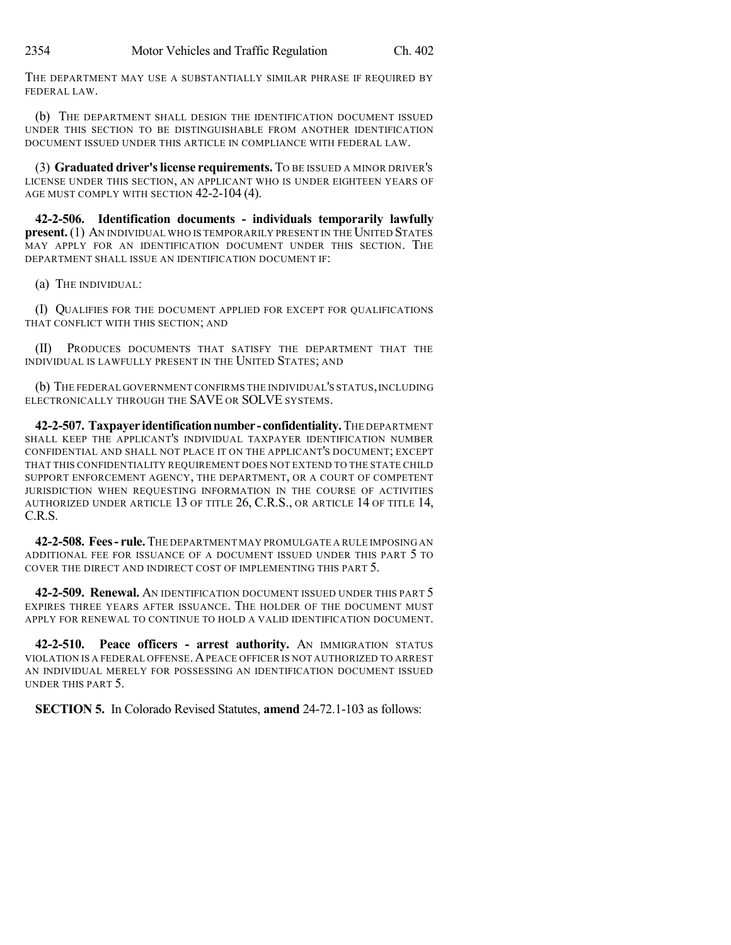THE DEPARTMENT MAY USE A SUBSTANTIALLY SIMILAR PHRASE IF REQUIRED BY FEDERAL LAW.

(b) THE DEPARTMENT SHALL DESIGN THE IDENTIFICATION DOCUMENT ISSUED UNDER THIS SECTION TO BE DISTINGUISHABLE FROM ANOTHER IDENTIFICATION DOCUMENT ISSUED UNDER THIS ARTICLE IN COMPLIANCE WITH FEDERAL LAW.

(3) **Graduated driver'slicense requirements.** TO BE ISSUED A MINOR DRIVER'S LICENSE UNDER THIS SECTION, AN APPLICANT WHO IS UNDER EIGHTEEN YEARS OF AGE MUST COMPLY WITH SECTION 42-2-104 (4).

**42-2-506. Identification documents - individuals temporarily lawfully present.** (1) AN INDIVIDUAL WHO IS TEMPORARILY PRESENT IN THE UNITED STATES MAY APPLY FOR AN IDENTIFICATION DOCUMENT UNDER THIS SECTION. THE DEPARTMENT SHALL ISSUE AN IDENTIFICATION DOCUMENT IF:

(a) THE INDIVIDUAL:

(I) QUALIFIES FOR THE DOCUMENT APPLIED FOR EXCEPT FOR QUALIFICATIONS THAT CONFLICT WITH THIS SECTION; AND

(II) PRODUCES DOCUMENTS THAT SATISFY THE DEPARTMENT THAT THE INDIVIDUAL IS LAWFULLY PRESENT IN THE UNITED STATES; AND

(b) THE FEDERAL GOVERNMENT CONFIRMS THE INDIVIDUAL'S STATUS,INCLUDING ELECTRONICALLY THROUGH THE SAVE OR SOLVE SYSTEMS.

**42-2-507. Taxpayer identificationnumber -confidentiality.**THE DEPARTMENT SHALL KEEP THE APPLICANT'S INDIVIDUAL TAXPAYER IDENTIFICATION NUMBER CONFIDENTIAL AND SHALL NOT PLACE IT ON THE APPLICANT'S DOCUMENT; EXCEPT THAT THIS CONFIDENTIALITY REQUIREMENT DOES NOT EXTEND TO THE STATE CHILD SUPPORT ENFORCEMENT AGENCY, THE DEPARTMENT, OR A COURT OF COMPETENT JURISDICTION WHEN REQUESTING INFORMATION IN THE COURSE OF ACTIVITIES AUTHORIZED UNDER ARTICLE 13 OF TITLE 26, C.R.S., OR ARTICLE 14 OF TITLE 14, C.R.S.

**42-2-508. Fees- rule.**THE DEPARTMENT MAY PROMULGATE A RULE IMPOSING AN ADDITIONAL FEE FOR ISSUANCE OF A DOCUMENT ISSUED UNDER THIS PART 5 TO COVER THE DIRECT AND INDIRECT COST OF IMPLEMENTING THIS PART 5.

**42-2-509. Renewal.** AN IDENTIFICATION DOCUMENT ISSUED UNDER THIS PART 5 EXPIRES THREE YEARS AFTER ISSUANCE. THE HOLDER OF THE DOCUMENT MUST APPLY FOR RENEWAL TO CONTINUE TO HOLD A VALID IDENTIFICATION DOCUMENT.

**42-2-510. Peace officers - arrest authority.** AN IMMIGRATION STATUS VIOLATION IS A FEDERAL OFFENSE.APEACE OFFICER IS NOT AUTHORIZED TO ARREST AN INDIVIDUAL MERELY FOR POSSESSING AN IDENTIFICATION DOCUMENT ISSUED UNDER THIS PART 5.

**SECTION 5.** In Colorado Revised Statutes, **amend** 24-72.1-103 as follows: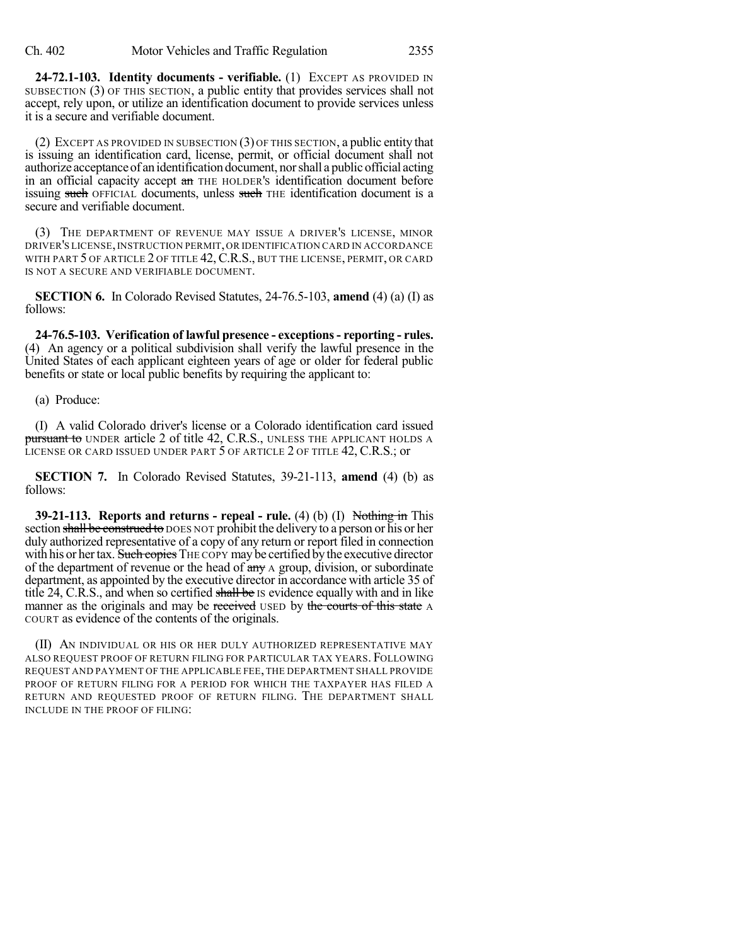**24-72.1-103. Identity documents - verifiable.** (1) EXCEPT AS PROVIDED IN SUBSECTION (3) OF THIS SECTION, a public entity that provides services shall not accept, rely upon, or utilize an identification document to provide services unless it is a secure and verifiable document.

(2) EXCEPT AS PROVIDED IN SUBSECTION (3) OF THIS SECTION, a public entity that is issuing an identification card, license, permit, or official document shall not authorize acceptance of an identification document, nor shall a public official acting in an official capacity accept an THE HOLDER's identification document before issuing such OFFICIAL documents, unless such THE identification document is a secure and verifiable document.

(3) THE DEPARTMENT OF REVENUE MAY ISSUE A DRIVER'S LICENSE, MINOR DRIVER'S LICENSE,INSTRUCTION PERMIT,OR IDENTIFICATION CARD IN ACCORDANCE WITH PART 5 OF ARTICLE 2 OF TITLE 42, C.R.S., BUT THE LICENSE, PERMIT, OR CARD IS NOT A SECURE AND VERIFIABLE DOCUMENT.

**SECTION 6.** In Colorado Revised Statutes, 24-76.5-103, **amend** (4) (a) (I) as follows:

**24-76.5-103. Verification of lawful presence - exceptions- reporting - rules.** (4) An agency or a political subdivision shall verify the lawful presence in the United States of each applicant eighteen years of age or older for federal public benefits or state or local public benefits by requiring the applicant to:

### (a) Produce:

(I) A valid Colorado driver's license or a Colorado identification card issued pursuant to UNDER article 2 of title 42, C.R.S., UNLESS THE APPLICANT HOLDS A LICENSE OR CARD ISSUED UNDER PART 5 OF ARTICLE 2 OF TITLE 42, C.R.S.; or

**SECTION 7.** In Colorado Revised Statutes, 39-21-113, **amend** (4) (b) as follows:

**39-21-113. Reports and returns - repeal - rule.** (4) (b) (I) Nothing in This section shall be construed to DOES NOT prohibit the delivery to a person or his or her duly authorized representative of a copy of any return or report filed in connection with his or her tax. Such copies THE COPY may be certified by the executive director of the department of revenue or the head of  $\frac{day}{x}$  a group, division, or subordinate department, as appointed by the executive director in accordance with article 35 of title 24, C.R.S., and when so certified shall be Is evidence equally with and in like manner as the originals and may be received USED by the courts of this state A COURT as evidence of the contents of the originals.

(II) AN INDIVIDUAL OR HIS OR HER DULY AUTHORIZED REPRESENTATIVE MAY ALSO REQUEST PROOF OF RETURN FILING FOR PARTICULAR TAX YEARS. FOLLOWING REQUEST AND PAYMENT OF THE APPLICABLE FEE, THE DEPARTMENT SHALL PROVIDE PROOF OF RETURN FILING FOR A PERIOD FOR WHICH THE TAXPAYER HAS FILED A RETURN AND REQUESTED PROOF OF RETURN FILING. THE DEPARTMENT SHALL INCLUDE IN THE PROOF OF FILING: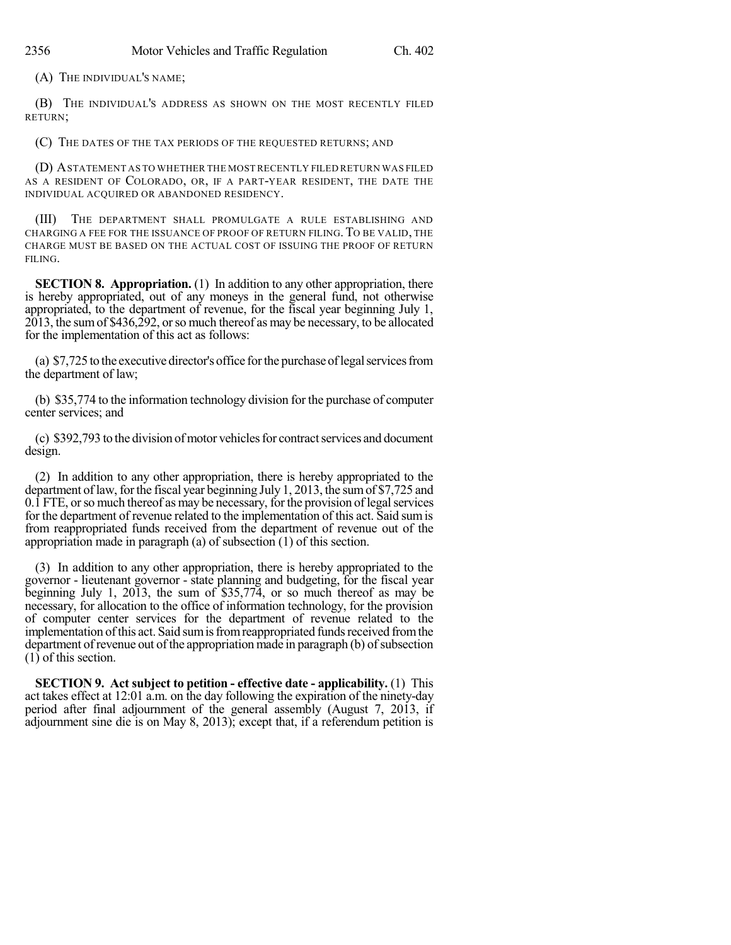(A) THE INDIVIDUAL'S NAME;

(B) THE INDIVIDUAL'S ADDRESS AS SHOWN ON THE MOST RECENTLY FILED RETURN;

(C) THE DATES OF THE TAX PERIODS OF THE REQUESTED RETURNS; AND

(D) ASTATEMENT AS TO WHETHER THE MOST RECENTLY FILED RETURN WAS FILED AS A RESIDENT OF COLORADO, OR, IF A PART-YEAR RESIDENT, THE DATE THE INDIVIDUAL ACQUIRED OR ABANDONED RESIDENCY.

(III) THE DEPARTMENT SHALL PROMULGATE A RULE ESTABLISHING AND CHARGING A FEE FOR THE ISSUANCE OF PROOF OF RETURN FILING. TO BE VALID, THE CHARGE MUST BE BASED ON THE ACTUAL COST OF ISSUING THE PROOF OF RETURN FILING.

**SECTION 8. Appropriation.** (1) In addition to any other appropriation, there is hereby appropriated, out of any moneys in the general fund, not otherwise appropriated, to the department of revenue, for the fiscal year beginning July 1, 2013, the sumof \$436,292, orso much thereof as may be necessary, to be allocated for the implementation of this act as follows:

(a) \$7,725 to the executive director's office for the purchase of legal services from the department of law;

(b) \$35,774 to the information technology division for the purchase of computer center services; and

(c) \$392,793 to the division of motor vehicles for contract services and document design.

(2) In addition to any other appropriation, there is hereby appropriated to the department of law, for the fiscal year beginning July 1, 2013, the sum of \$7,725 and  $0.\overline{1}$  FTE, or so much thereof as may be necessary, for the provision of legal services for the department of revenue related to the implementation of this act. Said sumis from reappropriated funds received from the department of revenue out of the appropriation made in paragraph (a) of subsection (1) of this section.

(3) In addition to any other appropriation, there is hereby appropriated to the governor - lieutenant governor - state planning and budgeting, for the fiscal year beginning July 1, 2013, the sum of \$35,774, or so much thereof as may be necessary, for allocation to the office of information technology, for the provision of computer center services for the department of revenue related to the implementation of this act. Said sum is from reappropriated funds received from the department of revenue out of the appropriation made in paragraph (b) of subsection  $(1)$  of this section.

**SECTION 9. Act subject to petition - effective date - applicability.** (1) This act takes effect at 12:01 a.m. on the day following the expiration of the ninety-day period after final adjournment of the general assembly (August 7, 2013, if adjournment sine die is on May 8, 2013); except that, if a referendum petition is